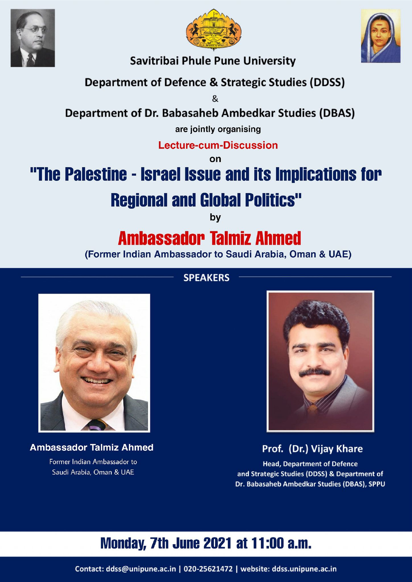





**Savitribai Phule Pune University** 

### **Department of Defence & Strategic Studies (DDSS)**

 $\mathcal{R}$ 

#### **Department of Dr. Babasaheb Ambedkar Studies (DBAS)**

are jointly organising

**Lecture-cum-Discussion** 

on

# "The Palestine - Israel Issue and its Implications for

## **Regional and Global Politics"**

bv

### **Ambassador Talmiz Ahmed**

(Former Indian Ambassador to Saudi Arabia, Oman & UAE)





**Ambassador Talmiz Ahmed** Former Indian Ambassador to Saudi Arabia, Oman & UAE



Prof. (Dr.) Vijay Khare

**Head, Department of Defence** and Strategic Studies (DDSS) & Department of Dr. Babasaheb Ambedkar Studies (DBAS), SPPU

### **Monday, 7th June 2021 at 11:00 a.m.**

Contact: ddss@unipune.ac.in | 020-25621472 | website: ddss.unipune.ac.in